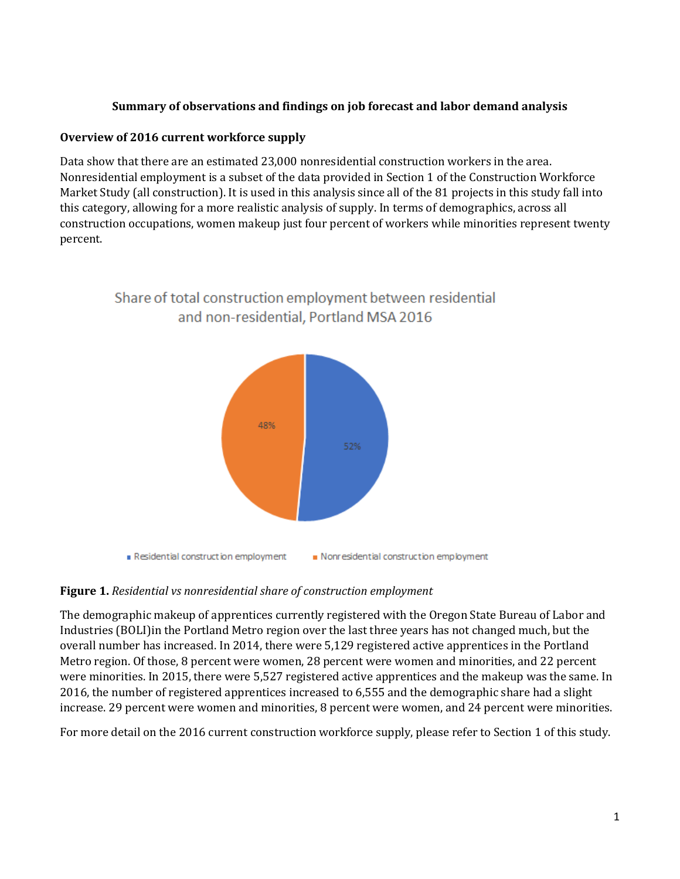#### **Summary of observations and findings on job forecast and labor demand analysis**

#### **Overview of 2016 current workforce supply**

Data show that there are an estimated 23,000 nonresidential construction workers in the area. Nonresidential employment is a subset of the data provided in Section 1 of the Construction Workforce Market Study (all construction). It is used in this analysis since all of the 81 projects in this study fall into this category, allowing for a more realistic analysis of supply. In terms of demographics, across all construction occupations, women makeup just four percent of workers while minorities represent twenty percent.



# Share of total construction employment between residential and non-residential, Portland MSA 2016

#### **Figure 1.** *Residential vs nonresidential share of construction employment*

The demographic makeup of apprentices currently registered with the Oregon State Bureau of Labor and Industries (BOLI)in the Portland Metro region over the last three years has not changed much, but the overall number has increased. In 2014, there were 5,129 registered active apprentices in the Portland Metro region. Of those, 8 percent were women, 28 percent were women and minorities, and 22 percent were minorities. In 2015, there were 5,527 registered active apprentices and the makeup was the same. In 2016, the number of registered apprentices increased to 6,555 and the demographic share had a slight increase. 29 percent were women and minorities, 8 percent were women, and 24 percent were minorities.

For more detail on the 2016 current construction workforce supply, please refer to Section 1 of this study.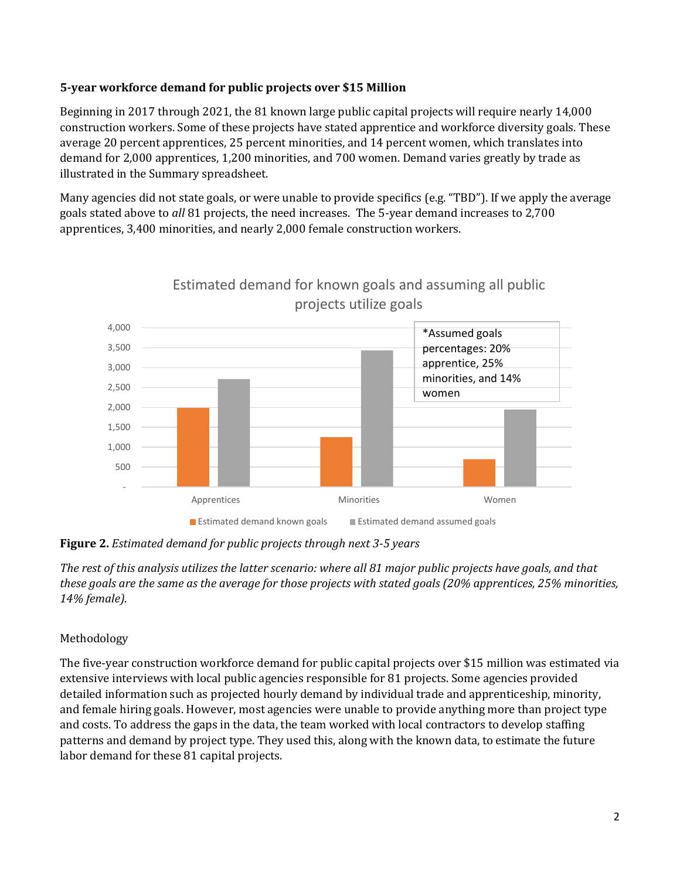#### **5-year workforce demand for public projects over \$15 Million**

Beginning in 2017 through 2021, the 81 known large public capital projects will require nearly 14,000 construction workers. Some of these projects have stated apprentice and workforce diversity goals. These average 20 percent apprentices, 25 percent minorities, and 14 percent women, which translates into demand for 2,000 apprentices, 1,200 minorities, and 700 women. Demand varies greatly by trade as illustrated in the Summary spreadsheet.

Many agencies did not state goals, or were unable to provide specifics (e.g. "TBD"). If we apply the average goals stated above to *all* 81 projects, the need increases. The 5-year demand increases to 2,700 apprentices, 3,400 minorities, and nearly 2,000 female construction workers.



## Estimated demand for known goals and assuming all public projects utilize goals

**Figure 2.** *Estimated demand for public projects through next 3-5 years*

*The rest of this analysis utilizes the latter scenario: where all 81 major public projects have goals, and that these goals are the same as the average for those projects with stated goals (20% apprentices, 25% minorities, 14% female).*

## Methodology

The five-year construction workforce demand for public capital projects over \$15 million was estimated via extensive interviews with local public agencies responsible for 81 projects. Some agencies provided detailed information such as projected hourly demand by individual trade and apprenticeship, minority, and female hiring goals. However, most agencies were unable to provide anything more than project type and costs. To address the gaps in the data, the team worked with local contractors to develop staffing patterns and demand by project type. They used this, along with the known data, to estimate the future labor demand for these 81 capital projects.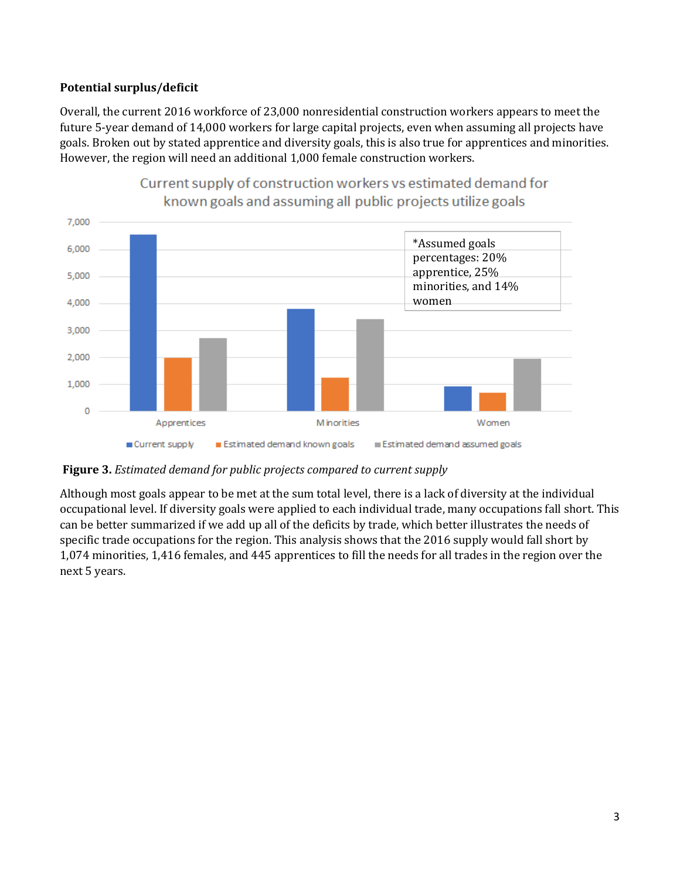## **Potential surplus/deficit**

Overall, the current 2016 workforce of 23,000 nonresidential construction workers appears to meet the future 5-year demand of 14,000 workers for large capital projects, even when assuming all projects have goals. Broken out by stated apprentice and diversity goals, this is also true for apprentices and minorities. However, the region will need an additional 1,000 female construction workers.



# Current supply of construction workers vs estimated demand for

**Figure 3.** *Estimated demand for public projects compared to current supply*

Although most goals appear to be met at the sum total level, there is a lack of diversity at the individual occupational level. If diversity goals were applied to each individual trade, many occupations fall short. This can be better summarized if we add up all of the deficits by trade, which better illustrates the needs of specific trade occupations for the region. This analysis shows that the 2016 supply would fall short by 1,074 minorities, 1,416 females, and 445 apprentices to fill the needs for all trades in the region over the next 5 years.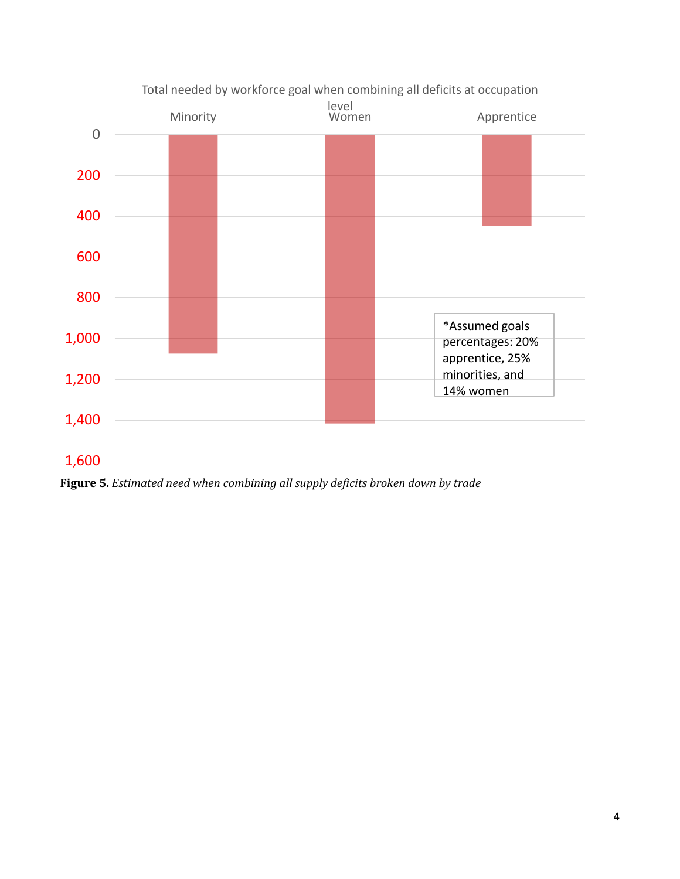

**Figure 5.** *Estimated need when combining all supply deficits broken down by trade*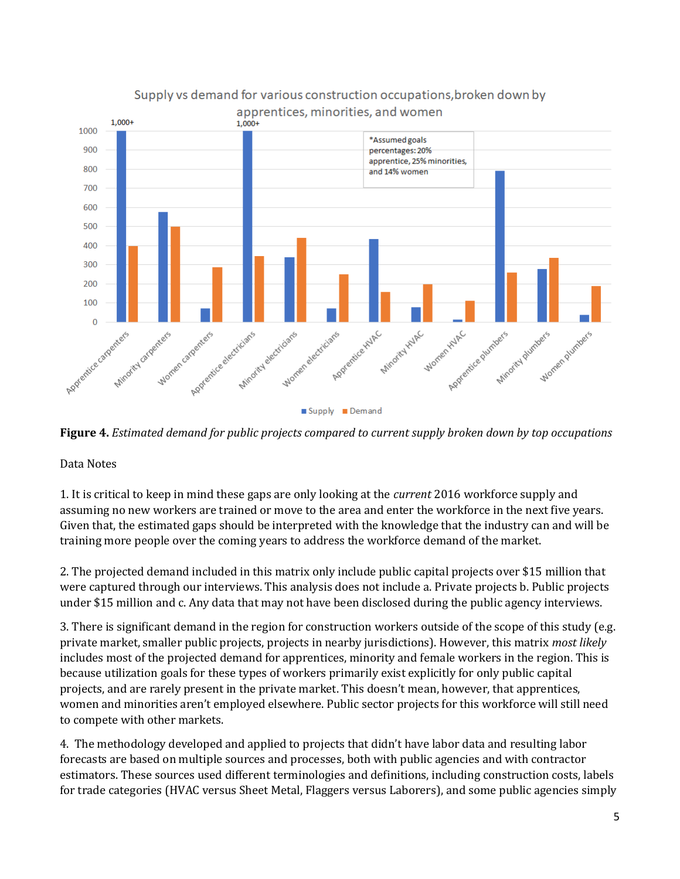

**Figure 4.** *Estimated demand for public projects compared to current supply broken down by top occupations*

Data Notes

1. It is critical to keep in mind these gaps are only looking at the *current* 2016 workforce supply and assuming no new workers are trained or move to the area and enter the workforce in the next five years. Given that, the estimated gaps should be interpreted with the knowledge that the industry can and will be training more people over the coming years to address the workforce demand of the market.

2. The projected demand included in this matrix only include public capital projects over \$15 million that were captured through our interviews. This analysis does not include a. Private projects b. Public projects under \$15 million and c. Any data that may not have been disclosed during the public agency interviews.

3. There is significant demand in the region for construction workers outside of the scope of this study (e.g. private market, smaller public projects, projects in nearby jurisdictions). However, this matrix *most likely* includes most of the projected demand for apprentices, minority and female workers in the region. This is because utilization goals for these types of workers primarily exist explicitly for only public capital projects, and are rarely present in the private market. This doesn't mean, however, that apprentices, women and minorities aren't employed elsewhere. Public sector projects for this workforce will still need to compete with other markets.

4. The methodology developed and applied to projects that didn't have labor data and resulting labor forecasts are based on multiple sources and processes, both with public agencies and with contractor estimators. These sources used different terminologies and definitions, including construction costs, labels for trade categories (HVAC versus Sheet Metal, Flaggers versus Laborers), and some public agencies simply